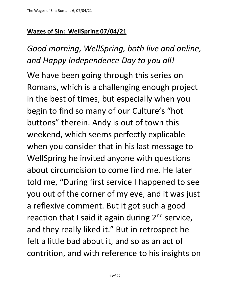## **Wages of Sin: WellSpring 07/04/21**

*Good morning, WellSpring, both live and online, and Happy Independence Day to you all!*

We have been going through this series on Romans, which is a challenging enough project in the best of times, but especially when you begin to find so many of our Culture's "hot buttons" therein. Andy is out of town this weekend, which seems perfectly explicable when you consider that in his last message to WellSpring he invited anyone with questions about circumcision to come find me. He later told me, "During first service I happened to see you out of the corner of my eye, and it was just a reflexive comment. But it got such a good reaction that I said it again during  $2<sup>nd</sup>$  service, and they really liked it." But in retrospect he felt a little bad about it, and so as an act of contrition, and with reference to his insights on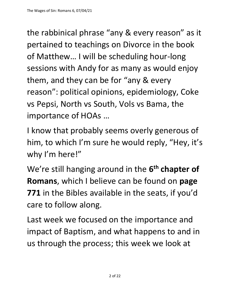the rabbinical phrase "any & every reason" as it pertained to teachings on Divorce in the book of Matthew… I will be scheduling hour-long sessions with Andy for as many as would enjoy them, and they can be for "any & every reason": political opinions, epidemiology, Coke vs Pepsi, North vs South, Vols vs Bama, the importance of HOAs …

I know that probably seems overly generous of him, to which I'm sure he would reply, "Hey, it's why I'm here!"

We're still hanging around in the  $6<sup>th</sup>$  chapter of **Romans**, which I believe can be found on **page 771** in the Bibles available in the seats, if you'd care to follow along.

Last week we focused on the importance and impact of Baptism, and what happens to and in us through the process; this week we look at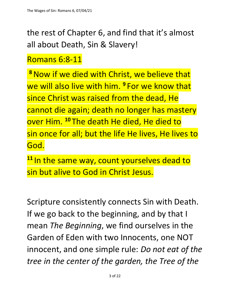the rest of Chapter 6, and find that it's almost all about Death, Sin & Slavery!

Romans 6:8-11

**<sup>8</sup>**Now if we died with Christ, we believe that we will also live with him. **<sup>9</sup>** For we know that since Christ was raised from the dead, He cannot die again; death no longer has mastery over Him. **<sup>10</sup>** The death He died, He died to sin once for all; but the life He lives, He lives to God.

**<sup>11</sup>** In the same way, count yourselves dead to sin but alive to God in Christ Jesus.

Scripture consistently connects Sin with Death. If we go back to the beginning, and by that I mean *The Beginning*, we find ourselves in the Garden of Eden with two Innocents, one NOT innocent, and one simple rule: *Do not eat of the tree in the center of the garden, the Tree of the*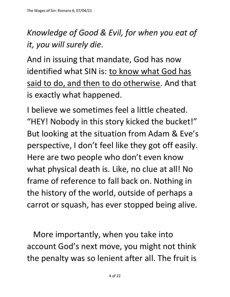## *Knowledge of Good & Evil, for when you eat of it, you will surely die*.

And in issuing that mandate, God has now identified what SIN is: to know what God has said to do, and then to do otherwise. And that is exactly what happened.

I believe we sometimes feel a little cheated. "HEY! Nobody in this story kicked the bucket!" But looking at the situation from Adam & Eve's perspective, I don't feel like they got off easily. Here are two people who don't even know what physical death is. Like, no clue at all! No frame of reference to fall back on. Nothing in the history of the world, outside of perhaps a carrot or squash, has ever stopped being alive.

 More importantly, when you take into account God's next move, you might not think the penalty was so lenient after all. The fruit is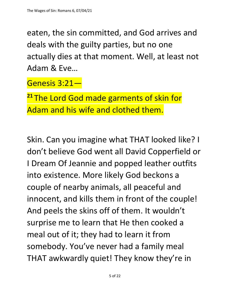eaten, the sin committed, and God arrives and deals with the guilty parties, but no one actually dies at that moment. Well, at least not Adam & Eve…

Genesis 3:21—

**<sup>21</sup>** The Lord God made garments of skin for Adam and his wife and clothed them.

Skin. Can you imagine what THAT looked like? I don't believe God went all David Copperfield or I Dream Of Jeannie and popped leather outfits into existence. More likely God beckons a couple of nearby animals, all peaceful and innocent, and kills them in front of the couple! And peels the skins off of them. It wouldn't surprise me to learn that He then cooked a meal out of it; they had to learn it from somebody. You've never had a family meal THAT awkwardly quiet! They know they're in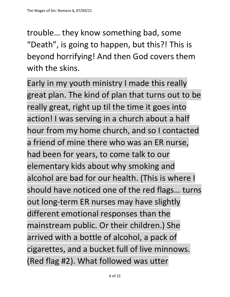trouble… they know something bad, some "Death", is going to happen, but this?! This is beyond horrifying! And then God covers them with the skins.

Early in my youth ministry I made this really great plan. The kind of plan that turns out to be really great, right up til the time it goes into action! I was serving in a church about a half hour from my home church, and so I contacted a friend of mine there who was an ER nurse, had been for years, to come talk to our elementary kids about why smoking and alcohol are bad for our health. (This is where I should have noticed one of the red flags… turns out long-term ER nurses may have slightly different emotional responses than the mainstream public. Or their children.) She arrived with a bottle of alcohol, a pack of cigarettes, and a bucket full of live minnows. (Red flag #2). What followed was utter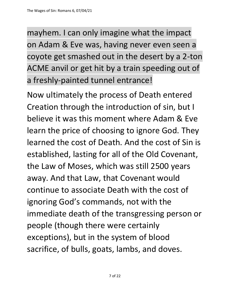mayhem. I can only imagine what the impact on Adam & Eve was, having never even seen a coyote get smashed out in the desert by a 2-ton ACME anvil or get hit by a train speeding out of a freshly-painted tunnel entrance!

Now ultimately the process of Death entered Creation through the introduction of sin, but I believe it was this moment where Adam & Eve learn the price of choosing to ignore God. They learned the cost of Death. And the cost of Sin is established, lasting for all of the Old Covenant, the Law of Moses, which was still 2500 years away. And that Law, that Covenant would continue to associate Death with the cost of ignoring God's commands, not with the immediate death of the transgressing person or people (though there were certainly exceptions), but in the system of blood sacrifice, of bulls, goats, lambs, and doves.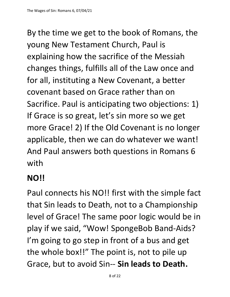By the time we get to the book of Romans, the young New Testament Church, Paul is explaining how the sacrifice of the Messiah changes things, fulfills all of the Law once and for all, instituting a New Covenant, a better covenant based on Grace rather than on Sacrifice. Paul is anticipating two objections: 1) If Grace is so great, let's sin more so we get more Grace! 2) If the Old Covenant is no longer applicable, then we can do whatever we want! And Paul answers both questions in Romans 6 with

## **NO!!**

Paul connects his NO!! first with the simple fact that Sin leads to Death, not to a Championship level of Grace! The same poor logic would be in play if we said, "Wow! SpongeBob Band-Aids? I'm going to go step in front of a bus and get the whole box!!" The point is, not to pile up Grace, but to avoid Sin-- **Sin leads to Death.**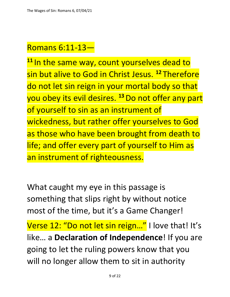## Romans 6:11-13—

<sup>11</sup> In the same way, count yourselves dead to sin but alive to God in Christ Jesus. **<sup>12</sup>** Therefore do not let sin reign in your mortal body so that you obey its evil desires. **<sup>13</sup>**Do not offer any part of yourself to sin as an instrument of wickedness, but rather offer yourselves to God as those who have been brought from death to life; and offer every part of yourself to Him as an instrument of righteousness.

What caught my eye in this passage is something that slips right by without notice most of the time, but it's a Game Changer!

Verse 12: "Do not let sin reign..." I love that! It's like… a **Declaration of Independence**! If you are going to let the ruling powers know that you will no longer allow them to sit in authority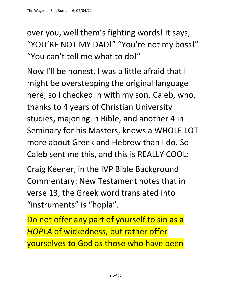over you, well them's fighting words! It says, "YOU'RE NOT MY DAD!" "You're not my boss!" "You can't tell me what to do!"

Now I'll be honest, I was a little afraid that I might be overstepping the original language here, so I checked in with my son, Caleb, who, thanks to 4 years of Christian University studies, majoring in Bible, and another 4 in Seminary for his Masters, knows a WHOLE LOT more about Greek and Hebrew than I do. So Caleb sent me this, and this is REALLY COOL:

Craig Keener, in the IVP Bible Background Commentary: New Testament notes that in verse 13, the Greek word translated into "instruments" is "hopla".

Do not offer any part of yourself to sin as a *HOPLA* of wickedness, but rather offer yourselves to God as those who have been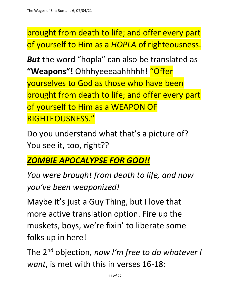brought from death to life; and offer every part of yourself to Him as a *HOPLA* of righteousness.

*But* the word "hopla" can also be translated as **"Weapons"!** Ohhhyeeeaahhhhh! "Offer yourselves to God as those who have been brought from death to life; and offer every part of yourself to Him as a WEAPON OF RIGHTEOUSNESS."

Do you understand what that's a picture of? You see it, too, right??

*ZOMBIE APOCALYPSE FOR GOD!!*

*You were brought from death to life, and now you've been weaponized!*

Maybe it's just a Guy Thing, but I love that more active translation option. Fire up the muskets, boys, we're fixin' to liberate some folks up in here!

The 2nd objection*, now I'm free to do whatever I want*, is met with this in verses 16-18:

11 of 22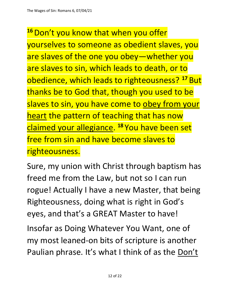<sup>16</sup> Don't you know that when you offer yourselves to someone as obedient slaves, you are slaves of the one you obey—whether you are slaves to sin, which leads to death, or to obedience, which leads to righteousness? **<sup>17</sup>** But thanks be to God that, though you used to be slaves to sin, you have come to obey from your heart the pattern of teaching that has now claimed your allegiance. **<sup>18</sup>** You have been set free from sin and have become slaves to righteousness.

Sure, my union with Christ through baptism has freed me from the Law, but not so I can run rogue! Actually I have a new Master, that being Righteousness, doing what is right in God's eyes, and that's a GREAT Master to have!

Insofar as Doing Whatever You Want, one of my most leaned-on bits of scripture is another Paulian phrase. It's what I think of as the Don't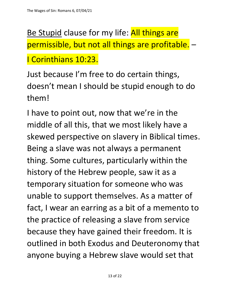Be Stupid clause for my life: All things are permissible, but not all things are profitable. –

I Corinthians 10:23.

Just because I'm free to do certain things, doesn't mean I should be stupid enough to do them!

I have to point out, now that we're in the middle of all this, that we most likely have a skewed perspective on slavery in Biblical times. Being a slave was not always a permanent thing. Some cultures, particularly within the history of the Hebrew people, saw it as a temporary situation for someone who was unable to support themselves. As a matter of fact, I wear an earring as a bit of a memento to the practice of releasing a slave from service because they have gained their freedom. It is outlined in both Exodus and Deuteronomy that anyone buying a Hebrew slave would set that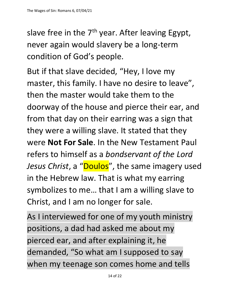slave free in the  $7<sup>th</sup>$  year. After leaving Egypt, never again would slavery be a long-term condition of God's people.

But if that slave decided, "Hey, I love my master, this family. I have no desire to leave", then the master would take them to the doorway of the house and pierce their ear, and from that day on their earring was a sign that they were a willing slave. It stated that they were **Not For Sale**. In the New Testament Paul refers to himself as a *bondservant of the Lord*  Jesus Christ, a "Doulos", the same imagery used in the Hebrew law. That is what my earring symbolizes to me… that I am a willing slave to Christ, and I am no longer for sale.

As I interviewed for one of my youth ministry positions, a dad had asked me about my pierced ear, and after explaining it, he demanded, "So what am I supposed to say when my teenage son comes home and tells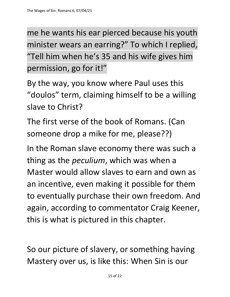me he wants his ear pierced because his youth minister wears an earring?" To which I replied, "Tell him when he's 35 and his wife gives him permission, go for it!"

By the way, you know where Paul uses this "doulos" term, claiming himself to be a willing slave to Christ?

The first verse of the book of Romans. (Can someone drop a mike for me, please??)

In the Roman slave economy there was such a thing as the *peculium*, which was when a Master would allow slaves to earn and own as an incentive, even making it possible for them to eventually purchase their own freedom. And again, according to commentator Craig Keener, this is what is pictured in this chapter.

So our picture of slavery, or something having Mastery over us, is like this: When Sin is our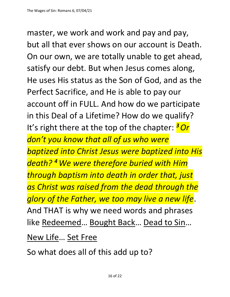master, we work and work and pay and pay, but all that ever shows on our account is Death. On our own, we are totally unable to get ahead, satisfy our debt. But when Jesus comes along, He uses His status as the Son of God, and as the Perfect Sacrifice, and He is able to pay our account off in FULL. And how do we participate in this Deal of a Lifetime? How do we qualify? It's right there at the top of the chapter: *<sup>3</sup>Or don't you know that all of us who were baptized into Christ Jesus were baptized into His death? <sup>4</sup>We were therefore buried with Him through baptism into death in order that, just as Christ was raised from the dead through the glory of the Father, we too may live a new life*. And THAT is why we need words and phrases like Redeemed… Bought Back… Dead to Sin…

New Life… Set Free

So what does all of this add up to?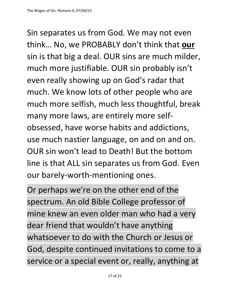Sin separates us from God. We may not even think… No, we PROBABLY don't think that **our** sin is that big a deal. OUR sins are much milder, much more justifiable. OUR sin probably isn't even really showing up on God's radar that much. We know lots of other people who are much more selfish, much less thoughtful, break many more laws, are entirely more selfobsessed, have worse habits and addictions, use much nastier language, on and on and on. OUR sin won't lead to Death! But the bottom line is that ALL sin separates us from God. Even our barely-worth-mentioning ones.

Or perhaps we're on the other end of the spectrum. An old Bible College professor of mine knew an even older man who had a very dear friend that wouldn't have anything whatsoever to do with the Church or Jesus or God, despite continued invitations to come to a service or a special event or, really, anything at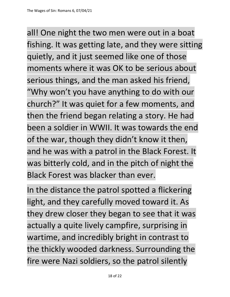all! One night the two men were out in a boat fishing. It was getting late, and they were sitting quietly, and it just seemed like one of those moments where it was OK to be serious about serious things, and the man asked his friend, "Why won't you have anything to do with our church?" It was quiet for a few moments, and then the friend began relating a story. He had been a soldier in WWII. It was towards the end of the war, though they didn't know it then, and he was with a patrol in the Black Forest. It was bitterly cold, and in the pitch of night the Black Forest was blacker than ever.

In the distance the patrol spotted a flickering light, and they carefully moved toward it. As they drew closer they began to see that it was actually a quite lively campfire, surprising in wartime, and incredibly bright in contrast to the thickly wooded darkness. Surrounding the fire were Nazi soldiers, so the patrol silently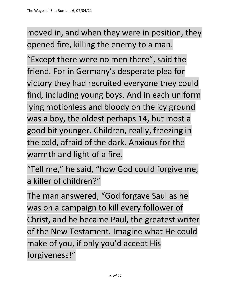moved in, and when they were in position, they opened fire, killing the enemy to a man.

"Except there were no men there", said the friend. For in Germany's desperate plea for victory they had recruited everyone they could find, including young boys. And in each uniform lying motionless and bloody on the icy ground was a boy, the oldest perhaps 14, but most a good bit younger. Children, really, freezing in the cold, afraid of the dark. Anxious for the warmth and light of a fire.

"Tell me," he said, "how God could forgive me, a killer of children?"

The man answered, "God forgave Saul as he was on a campaign to kill every follower of Christ, and he became Paul, the greatest writer of the New Testament. Imagine what He could make of you, if only you'd accept His forgiveness!"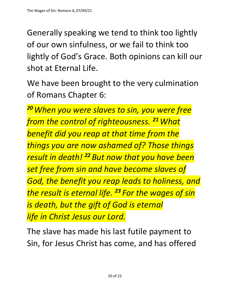Generally speaking we tend to think too lightly of our own sinfulness, or we fail to think too lightly of God's Grace. Both opinions can kill our shot at Eternal Life.

We have been brought to the very culmination of Romans Chapter 6:

*<sup>20</sup>When you were slaves to sin, you were free from the control of righteousness. <sup>21</sup>What benefit did you reap at that time from the things you are now ashamed of? Those things result in death! <sup>22</sup> But now that you have been set free from sin and have become slaves of God, the benefit you reap leads to holiness, and the result is eternal life. <sup>23</sup> For the wages of sin is death, but the gift of God is eternal life in Christ Jesus our Lord.*

The slave has made his last futile payment to Sin, for Jesus Christ has come, and has offered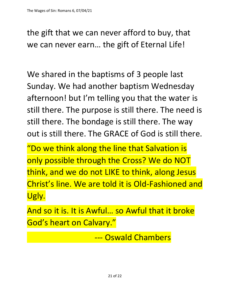the gift that we can never afford to buy, that we can never earn… the gift of Eternal Life!

We shared in the baptisms of 3 people last Sunday. We had another baptism Wednesday afternoon! but I'm telling you that the water is still there. The purpose is still there. The need is still there. The bondage is still there. The way out is still there. The GRACE of God is still there.

"Do we think along the line that Salvation is only possible through the Cross? We do NOT think, and we do not LIKE to think, along Jesus Christ's line. We are told it is Old-Fashioned and Ugly.

And so it is. It is Awful… so Awful that it broke God's heart on Calvary."

--- Oswald Chambers